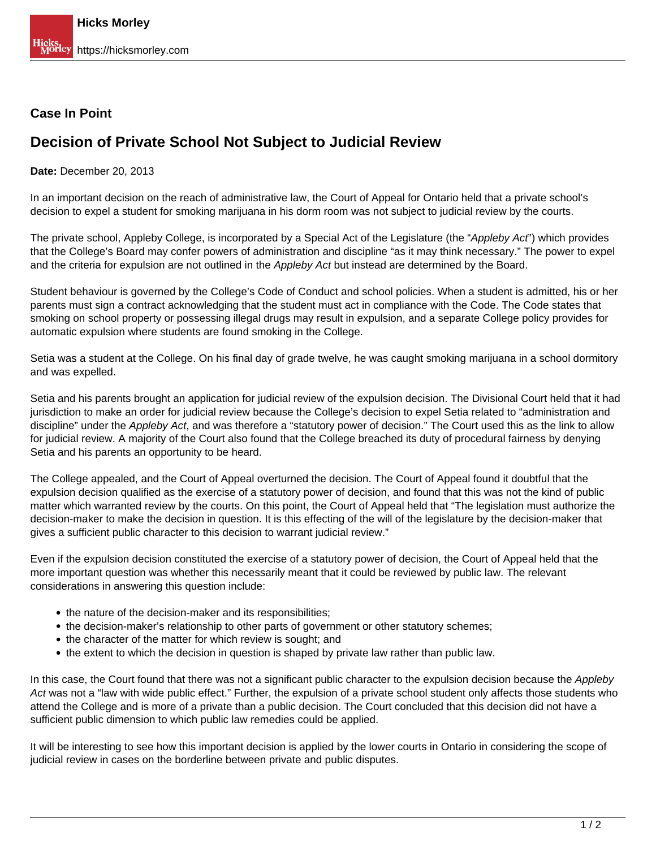## **Case In Point**

## **Decision of Private School Not Subject to Judicial Review**

## **Date:** December 20, 2013

In an important decision on the reach of administrative law, the Court of Appeal for Ontario held that a private school's decision to expel a student for smoking marijuana in his dorm room was not subject to judicial review by the courts.

The private school, Appleby College, is incorporated by a Special Act of the Legislature (the "Appleby Act") which provides that the College's Board may confer powers of administration and discipline "as it may think necessary." The power to expel and the criteria for expulsion are not outlined in the Appleby Act but instead are determined by the Board.

Student behaviour is governed by the College's Code of Conduct and school policies. When a student is admitted, his or her parents must sign a contract acknowledging that the student must act in compliance with the Code. The Code states that smoking on school property or possessing illegal drugs may result in expulsion, and a separate College policy provides for automatic expulsion where students are found smoking in the College.

Setia was a student at the College. On his final day of grade twelve, he was caught smoking marijuana in a school dormitory and was expelled.

Setia and his parents brought an application for judicial review of the expulsion decision. The Divisional Court held that it had jurisdiction to make an order for judicial review because the College's decision to expel Setia related to "administration and discipline" under the Appleby Act, and was therefore a "statutory power of decision." The Court used this as the link to allow for judicial review. A majority of the Court also found that the College breached its duty of procedural fairness by denying Setia and his parents an opportunity to be heard.

The College appealed, and the Court of Appeal overturned the decision. The Court of Appeal found it doubtful that the expulsion decision qualified as the exercise of a statutory power of decision, and found that this was not the kind of public matter which warranted review by the courts. On this point, the Court of Appeal held that "The legislation must authorize the decision-maker to make the decision in question. It is this effecting of the will of the legislature by the decision-maker that gives a sufficient public character to this decision to warrant judicial review."

Even if the expulsion decision constituted the exercise of a statutory power of decision, the Court of Appeal held that the more important question was whether this necessarily meant that it could be reviewed by public law. The relevant considerations in answering this question include:

- the nature of the decision-maker and its responsibilities;
- the decision-maker's relationship to other parts of government or other statutory schemes;
- the character of the matter for which review is sought; and
- the extent to which the decision in question is shaped by private law rather than public law.

In this case, the Court found that there was not a significant public character to the expulsion decision because the Appleby Act was not a "law with wide public effect." Further, the expulsion of a private school student only affects those students who attend the College and is more of a private than a public decision. The Court concluded that this decision did not have a sufficient public dimension to which public law remedies could be applied.

It will be interesting to see how this important decision is applied by the lower courts in Ontario in considering the scope of judicial review in cases on the borderline between private and public disputes.